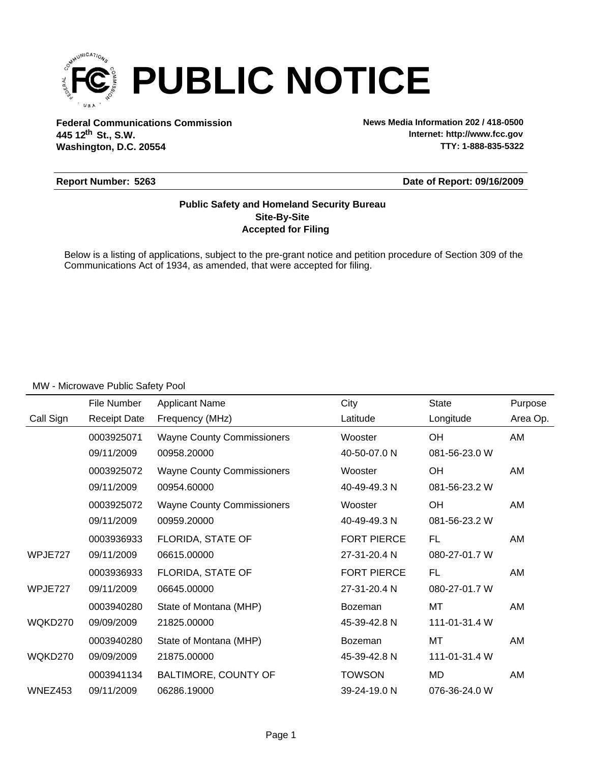

**Federal Communications Commission News Media Information 202 / 418-0500 Washington, D.C. 20554 th 445 12 St., S.W.**

**Internet: http://www.fcc.gov TTY: 1-888-835-5322**

### **Report Number: 5263**

#### **Date of Report: 09/16/2009**

### **Accepted for Filing Site-By-Site Public Safety and Homeland Security Bureau**

Below is a listing of applications, subject to the pre-grant notice and petition procedure of Section 309 of the Communications Act of 1934, as amended, that were accepted for filing.

|           | File Number         | <b>Applicant Name</b>             | City               | <b>State</b>  | Purpose  |
|-----------|---------------------|-----------------------------------|--------------------|---------------|----------|
| Call Sign | <b>Receipt Date</b> | Frequency (MHz)                   | Latitude           | Longitude     | Area Op. |
|           | 0003925071          | <b>Wayne County Commissioners</b> | Wooster            | OH            | AM       |
|           | 09/11/2009          | 00958.20000                       | 40-50-07.0 N       | 081-56-23.0 W |          |
|           | 0003925072          | <b>Wayne County Commissioners</b> | Wooster            | OH            | AM       |
|           | 09/11/2009          | 00954.60000                       | 40-49-49.3 N       | 081-56-23.2 W |          |
|           | 0003925072          | <b>Wayne County Commissioners</b> | Wooster            | <b>OH</b>     | AM       |
|           | 09/11/2009          | 00959.20000                       | 40-49-49.3 N       | 081-56-23.2 W |          |
|           | 0003936933          | FLORIDA, STATE OF                 | <b>FORT PIERCE</b> | FL.           | AM       |
| WPJE727   | 09/11/2009          | 06615.00000                       | 27-31-20.4 N       | 080-27-01.7 W |          |
|           | 0003936933          | FLORIDA, STATE OF                 | <b>FORT PIERCE</b> | FL.           | AM       |
| WPJE727   | 09/11/2009          | 06645.00000                       | 27-31-20.4 N       | 080-27-01.7 W |          |
|           | 0003940280          | State of Montana (MHP)            | <b>Bozeman</b>     | МT            | AM       |
| WQKD270   | 09/09/2009          | 21825.00000                       | 45-39-42.8 N       | 111-01-31.4 W |          |
|           | 0003940280          | State of Montana (MHP)            | <b>Bozeman</b>     | MT            | AM       |
| WQKD270   | 09/09/2009          | 21875.00000                       | 45-39-42.8 N       | 111-01-31.4 W |          |
|           | 0003941134          | BALTIMORE, COUNTY OF              | <b>TOWSON</b>      | <b>MD</b>     | AM       |
| WNEZ453   | 09/11/2009          | 06286.19000                       | 39-24-19.0 N       | 076-36-24.0 W |          |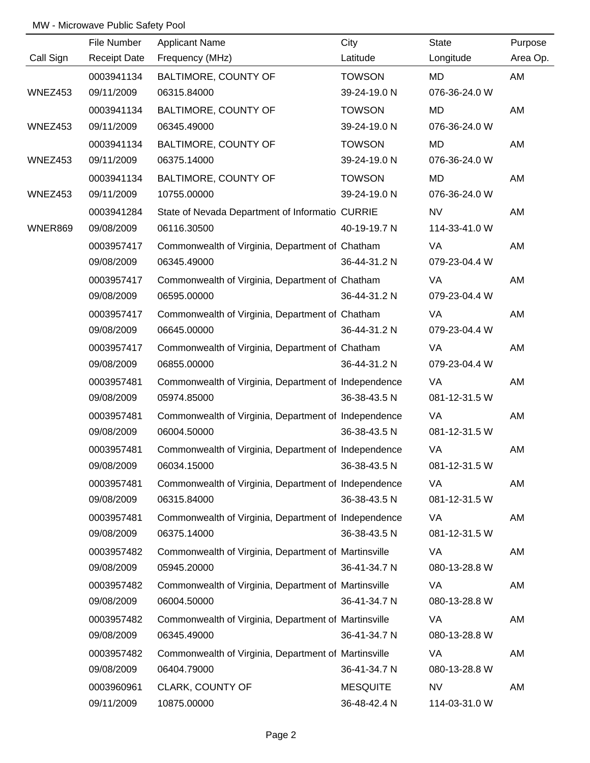|           | File Number         | <b>Applicant Name</b>                                | City            | State         | Purpose  |
|-----------|---------------------|------------------------------------------------------|-----------------|---------------|----------|
| Call Sign | <b>Receipt Date</b> | Frequency (MHz)                                      | Latitude        | Longitude     | Area Op. |
|           | 0003941134          | BALTIMORE, COUNTY OF                                 | <b>TOWSON</b>   | MD            | AM       |
| WNEZ453   | 09/11/2009          | 06315.84000                                          | 39-24-19.0 N    | 076-36-24.0 W |          |
|           | 0003941134          | BALTIMORE, COUNTY OF                                 | <b>TOWSON</b>   | <b>MD</b>     | AM       |
| WNEZ453   | 09/11/2009          | 06345.49000                                          | 39-24-19.0 N    | 076-36-24.0 W |          |
|           | 0003941134          | BALTIMORE, COUNTY OF                                 | <b>TOWSON</b>   | MD            | AM       |
| WNEZ453   | 09/11/2009          | 06375.14000                                          | 39-24-19.0 N    | 076-36-24.0 W |          |
|           | 0003941134          | BALTIMORE, COUNTY OF                                 | <b>TOWSON</b>   | MD            | AM       |
| WNEZ453   | 09/11/2009          | 10755.00000                                          | 39-24-19.0 N    | 076-36-24.0 W |          |
|           | 0003941284          | State of Nevada Department of Informatio CURRIE      |                 | <b>NV</b>     | AM       |
| WNER869   | 09/08/2009          | 06116.30500                                          | 40-19-19.7 N    | 114-33-41.0 W |          |
|           | 0003957417          | Commonwealth of Virginia, Department of Chatham      |                 | VA            | AM       |
|           | 09/08/2009          | 06345.49000                                          | 36-44-31.2 N    | 079-23-04.4 W |          |
|           | 0003957417          | Commonwealth of Virginia, Department of Chatham      |                 | VA            | AM       |
|           | 09/08/2009          | 06595.00000                                          | 36-44-31.2 N    | 079-23-04.4 W |          |
|           | 0003957417          | Commonwealth of Virginia, Department of Chatham      |                 | VA            | AM       |
|           | 09/08/2009          | 06645.00000                                          | 36-44-31.2 N    | 079-23-04.4 W |          |
|           | 0003957417          | Commonwealth of Virginia, Department of Chatham      |                 | VA            | AM       |
|           | 09/08/2009          | 06855.00000                                          | 36-44-31.2 N    | 079-23-04.4 W |          |
|           | 0003957481          | Commonwealth of Virginia, Department of Independence |                 | VA            | AM       |
|           | 09/08/2009          | 05974.85000                                          | 36-38-43.5 N    | 081-12-31.5 W |          |
|           | 0003957481          | Commonwealth of Virginia, Department of Independence |                 | VA            | AM       |
|           | 09/08/2009          | 06004.50000                                          | 36-38-43.5 N    | 081-12-31.5 W |          |
|           | 0003957481          | Commonwealth of Virginia, Department of Independence |                 | VA            | AM       |
|           | 09/08/2009          | 06034.15000                                          | 36-38-43.5 N    | 081-12-31.5 W |          |
|           | 0003957481          | Commonwealth of Virginia, Department of Independence |                 | <b>VA</b>     | AM       |
|           | 09/08/2009          | 06315.84000                                          | 36-38-43.5 N    | 081-12-31.5 W |          |
|           | 0003957481          | Commonwealth of Virginia, Department of Independence |                 | VA            | AM       |
|           | 09/08/2009          | 06375.14000                                          | 36-38-43.5 N    | 081-12-31.5 W |          |
|           | 0003957482          | Commonwealth of Virginia, Department of Martinsville |                 | VA            | AM       |
|           | 09/08/2009          | 05945.20000                                          | 36-41-34.7 N    | 080-13-28.8 W |          |
|           | 0003957482          | Commonwealth of Virginia, Department of Martinsville |                 | <b>VA</b>     | AM       |
|           | 09/08/2009          | 06004.50000                                          | 36-41-34.7 N    | 080-13-28.8 W |          |
|           | 0003957482          | Commonwealth of Virginia, Department of Martinsville |                 | VA            | AM       |
|           | 09/08/2009          | 06345.49000                                          | 36-41-34.7 N    | 080-13-28.8 W |          |
|           | 0003957482          | Commonwealth of Virginia, Department of Martinsville |                 | VA            | AM       |
|           | 09/08/2009          | 06404.79000                                          | 36-41-34.7 N    | 080-13-28.8 W |          |
|           | 0003960961          | CLARK, COUNTY OF                                     | <b>MESQUITE</b> | <b>NV</b>     | AM       |
|           | 09/11/2009          | 10875.00000                                          | 36-48-42.4 N    | 114-03-31.0 W |          |
|           |                     |                                                      |                 |               |          |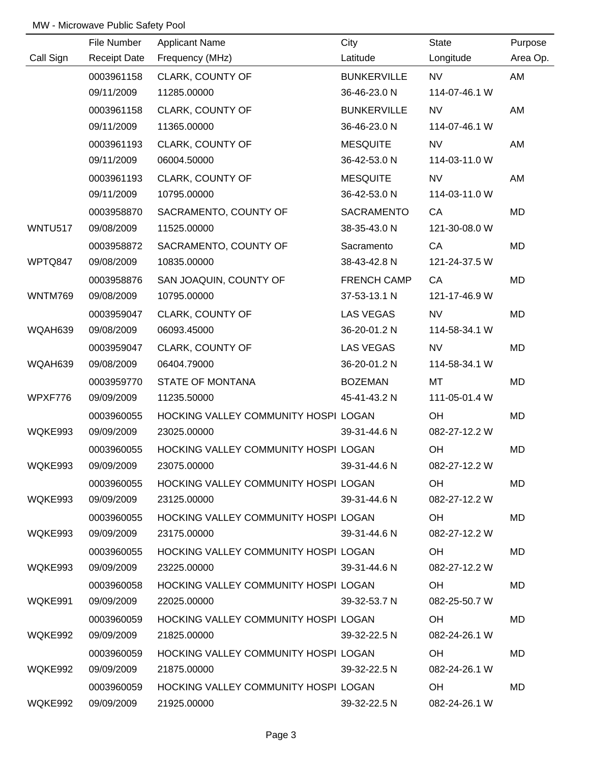|                | File Number         | <b>Applicant Name</b>                | City               | <b>State</b>  | Purpose  |
|----------------|---------------------|--------------------------------------|--------------------|---------------|----------|
| Call Sign      | <b>Receipt Date</b> | Frequency (MHz)                      | Latitude           | Longitude     | Area Op. |
|                | 0003961158          | CLARK, COUNTY OF                     | <b>BUNKERVILLE</b> | <b>NV</b>     | AM       |
|                | 09/11/2009          | 11285.00000                          | 36-46-23.0 N       | 114-07-46.1 W |          |
|                | 0003961158          | CLARK, COUNTY OF                     | <b>BUNKERVILLE</b> | <b>NV</b>     | AM       |
|                | 09/11/2009          | 11365.00000                          | 36-46-23.0 N       | 114-07-46.1 W |          |
|                | 0003961193          | CLARK, COUNTY OF                     | <b>MESQUITE</b>    | <b>NV</b>     | AM       |
|                | 09/11/2009          | 06004.50000                          | 36-42-53.0 N       | 114-03-11.0 W |          |
|                | 0003961193          | CLARK, COUNTY OF                     | <b>MESQUITE</b>    | <b>NV</b>     | AM       |
|                | 09/11/2009          | 10795.00000                          | 36-42-53.0 N       | 114-03-11.0 W |          |
|                | 0003958870          | SACRAMENTO, COUNTY OF                | <b>SACRAMENTO</b>  | CA            | MD       |
| <b>WNTU517</b> | 09/08/2009          | 11525.00000                          | 38-35-43.0 N       | 121-30-08.0 W |          |
|                | 0003958872          | SACRAMENTO, COUNTY OF                | Sacramento         | CA            | MD       |
| WPTQ847        | 09/08/2009          | 10835.00000                          | 38-43-42.8 N       | 121-24-37.5 W |          |
|                | 0003958876          | SAN JOAQUIN, COUNTY OF               | <b>FRENCH CAMP</b> | CA            | MD       |
| <b>WNTM769</b> | 09/08/2009          | 10795.00000                          | 37-53-13.1 N       | 121-17-46.9 W |          |
|                | 0003959047          | CLARK, COUNTY OF                     | <b>LAS VEGAS</b>   | <b>NV</b>     | MD       |
| WQAH639        | 09/08/2009          | 06093.45000                          | 36-20-01.2 N       | 114-58-34.1 W |          |
|                | 0003959047          | CLARK, COUNTY OF                     | <b>LAS VEGAS</b>   | <b>NV</b>     | MD       |
| WQAH639        | 09/08/2009          | 06404.79000                          | 36-20-01.2 N       | 114-58-34.1 W |          |
|                | 0003959770          | STATE OF MONTANA                     | <b>BOZEMAN</b>     | MT            | MD       |
| WPXF776        | 09/09/2009          | 11235.50000                          | 45-41-43.2 N       | 111-05-01.4 W |          |
|                | 0003960055          | HOCKING VALLEY COMMUNITY HOSPI LOGAN |                    | OH            | MD       |
| WQKE993        | 09/09/2009          | 23025.00000                          | 39-31-44.6 N       | 082-27-12.2 W |          |
|                | 0003960055          | HOCKING VALLEY COMMUNITY HOSPI LOGAN |                    | OH            | MD       |
| WQKE993        | 09/09/2009          | 23075.00000                          | 39-31-44.6 N       | 082-27-12.2 W |          |
|                | 0003960055          | HOCKING VALLEY COMMUNITY HOSPI LOGAN |                    | OH            | MD.      |
| WQKE993        | 09/09/2009          | 23125.00000                          | 39-31-44.6 N       | 082-27-12.2 W |          |
|                | 0003960055          | HOCKING VALLEY COMMUNITY HOSPI LOGAN |                    | OH            | MD       |
| WQKE993        | 09/09/2009          | 23175.00000                          | 39-31-44.6 N       | 082-27-12.2 W |          |
|                | 0003960055          | HOCKING VALLEY COMMUNITY HOSPI LOGAN |                    | OH.           | MD       |
| WQKE993        | 09/09/2009          | 23225.00000                          | 39-31-44.6 N       | 082-27-12.2 W |          |
|                | 0003960058          | HOCKING VALLEY COMMUNITY HOSPI LOGAN |                    | OH.           | MD       |
| WQKE991        | 09/09/2009          | 22025.00000                          | 39-32-53.7 N       | 082-25-50.7 W |          |
|                | 0003960059          | HOCKING VALLEY COMMUNITY HOSPI LOGAN |                    | OH            | MD       |
| WQKE992        | 09/09/2009          | 21825.00000                          | 39-32-22.5 N       | 082-24-26.1 W |          |
|                | 0003960059          | HOCKING VALLEY COMMUNITY HOSPI LOGAN |                    | OH.           | MD       |
| WQKE992        | 09/09/2009          | 21875.00000                          | 39-32-22.5 N       | 082-24-26.1 W |          |
|                | 0003960059          | HOCKING VALLEY COMMUNITY HOSPI LOGAN |                    | OH.           | MD       |
|                | WQKE992 09/09/2009  | 21925.00000                          | 39-32-22.5 N       | 082-24-26.1 W |          |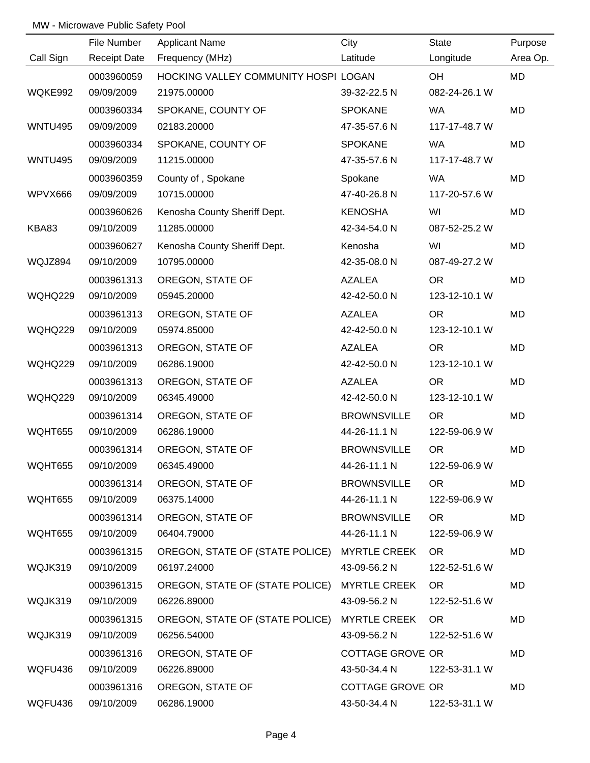|                | File Number         | <b>Applicant Name</b>                        | City                | <b>State</b>  | Purpose   |
|----------------|---------------------|----------------------------------------------|---------------------|---------------|-----------|
| Call Sign      | <b>Receipt Date</b> | Frequency (MHz)                              | Latitude            | Longitude     | Area Op.  |
|                | 0003960059          | HOCKING VALLEY COMMUNITY HOSPI LOGAN         |                     | OH            | MD        |
| WQKE992        | 09/09/2009          | 21975.00000                                  | 39-32-22.5 N        | 082-24-26.1 W |           |
|                | 0003960334          | SPOKANE, COUNTY OF                           | <b>SPOKANE</b>      | <b>WA</b>     | MD        |
| <b>WNTU495</b> | 09/09/2009          | 02183.20000                                  | 47-35-57.6 N        | 117-17-48.7 W |           |
|                | 0003960334          | SPOKANE, COUNTY OF                           | <b>SPOKANE</b>      | WA            | MD        |
| <b>WNTU495</b> | 09/09/2009          | 11215.00000                                  | 47-35-57.6 N        | 117-17-48.7 W |           |
|                | 0003960359          | County of, Spokane                           | Spokane             | <b>WA</b>     | MD        |
| WPVX666        | 09/09/2009          | 10715.00000                                  | 47-40-26.8 N        | 117-20-57.6 W |           |
|                | 0003960626          | Kenosha County Sheriff Dept.                 | <b>KENOSHA</b>      | WI            | MD        |
| KBA83          | 09/10/2009          | 11285.00000                                  | 42-34-54.0 N        | 087-52-25.2 W |           |
|                | 0003960627          | Kenosha County Sheriff Dept.                 | Kenosha             | WI            | MD        |
| WQJZ894        | 09/10/2009          | 10795.00000                                  | 42-35-08.0 N        | 087-49-27.2 W |           |
|                | 0003961313          | OREGON, STATE OF                             | <b>AZALEA</b>       | <b>OR</b>     | MD        |
| <b>WQHQ229</b> | 09/10/2009          | 05945.20000                                  | 42-42-50.0 N        | 123-12-10.1 W |           |
|                | 0003961313          | OREGON, STATE OF                             | <b>AZALEA</b>       | <b>OR</b>     | MD        |
| WQHQ229        | 09/10/2009          | 05974.85000                                  | 42-42-50.0 N        | 123-12-10.1 W |           |
|                | 0003961313          | OREGON, STATE OF                             | <b>AZALEA</b>       | <b>OR</b>     | MD        |
| WQHQ229        | 09/10/2009          | 06286.19000                                  | 42-42-50.0 N        | 123-12-10.1 W |           |
|                | 0003961313          | OREGON, STATE OF                             | <b>AZALEA</b>       | <b>OR</b>     | MD        |
| <b>WQHQ229</b> | 09/10/2009          | 06345.49000                                  | 42-42-50.0 N        | 123-12-10.1 W |           |
|                | 0003961314          | OREGON, STATE OF                             | <b>BROWNSVILLE</b>  | <b>OR</b>     | MD        |
| WQHT655        | 09/10/2009          | 06286.19000                                  | 44-26-11.1 N        | 122-59-06.9 W |           |
|                | 0003961314          | OREGON, STATE OF                             | <b>BROWNSVILLE</b>  | <b>OR</b>     | <b>MD</b> |
| WQHT655        | 09/10/2009          | 06345.49000                                  | 44-26-11.1 N        | 122-59-06.9 W |           |
|                | 0003961314          | OREGON, STATE OF                             | <b>BROWNSVILLE</b>  | <b>OR</b>     | MD        |
| WQHT655        | 09/10/2009          | 06375.14000                                  | 44-26-11.1 N        | 122-59-06.9 W |           |
|                | 0003961314          | OREGON, STATE OF                             | <b>BROWNSVILLE</b>  | OR.           | MD        |
| WQHT655        | 09/10/2009          | 06404.79000                                  | 44-26-11.1 N        | 122-59-06.9 W |           |
|                | 0003961315          | OREGON, STATE OF (STATE POLICE) MYRTLE CREEK |                     | OR.           | MD        |
| WQJK319        | 09/10/2009          | 06197.24000                                  | 43-09-56.2 N        | 122-52-51.6 W |           |
|                | 0003961315          | OREGON, STATE OF (STATE POLICE)              | <b>MYRTLE CREEK</b> | OR.           | MD        |
| WQJK319        | 09/10/2009          | 06226.89000                                  | 43-09-56.2 N        | 122-52-51.6 W |           |
|                | 0003961315          | OREGON, STATE OF (STATE POLICE)              | <b>MYRTLE CREEK</b> | <b>OR</b>     | MD        |
| WQJK319        | 09/10/2009          | 06256.54000                                  | 43-09-56.2 N        | 122-52-51.6 W |           |
|                | 0003961316          | OREGON, STATE OF                             | COTTAGE GROVE OR    |               | MD        |
| WQFU436        | 09/10/2009          | 06226.89000                                  | 43-50-34.4 N        | 122-53-31.1 W |           |
|                | 0003961316          | OREGON, STATE OF                             | COTTAGE GROVE OR    |               | MD        |
| WQFU436        | 09/10/2009          | 06286.19000                                  | 43-50-34.4 N        | 122-53-31.1 W |           |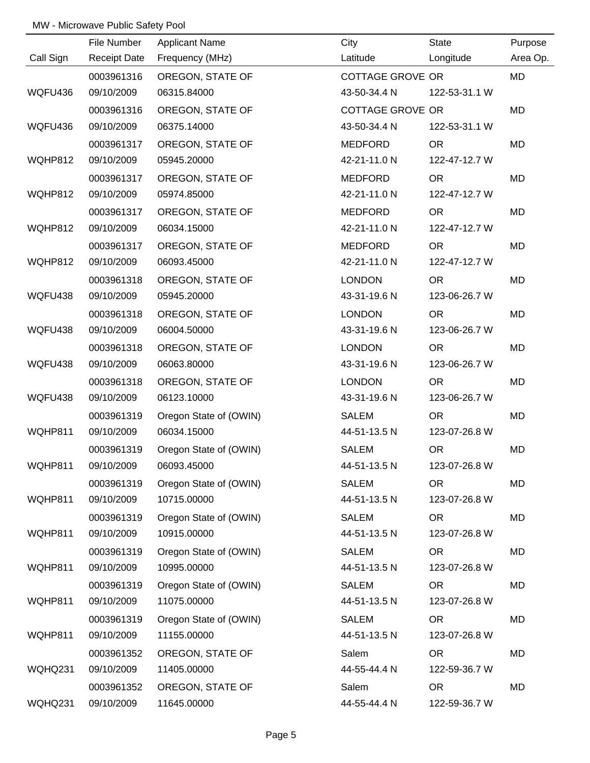|                | File Number         | <b>Applicant Name</b>  | City             | State         | Purpose   |
|----------------|---------------------|------------------------|------------------|---------------|-----------|
| Call Sign      | <b>Receipt Date</b> | Frequency (MHz)        | Latitude         | Longitude     | Area Op.  |
|                | 0003961316          | OREGON, STATE OF       | COTTAGE GROVE OR |               | <b>MD</b> |
| WQFU436        | 09/10/2009          | 06315.84000            | 43-50-34.4 N     | 122-53-31.1 W |           |
|                | 0003961316          | OREGON, STATE OF       | COTTAGE GROVE OR |               | MD        |
| WQFU436        | 09/10/2009          | 06375.14000            | 43-50-34.4 N     | 122-53-31.1 W |           |
|                | 0003961317          | OREGON, STATE OF       | MEDFORD          | <b>OR</b>     | <b>MD</b> |
| WQHP812        | 09/10/2009          | 05945.20000            | 42-21-11.0 N     | 122-47-12.7 W |           |
|                | 0003961317          | OREGON, STATE OF       | <b>MEDFORD</b>   | <b>OR</b>     | MD        |
| WQHP812        | 09/10/2009          | 05974.85000            | 42-21-11.0 N     | 122-47-12.7 W |           |
|                | 0003961317          | OREGON, STATE OF       | <b>MEDFORD</b>   | <b>OR</b>     | MD        |
| WQHP812        | 09/10/2009          | 06034.15000            | 42-21-11.0 N     | 122-47-12.7 W |           |
|                | 0003961317          | OREGON, STATE OF       | MEDFORD          | <b>OR</b>     | MD        |
| WQHP812        | 09/10/2009          | 06093.45000            | 42-21-11.0 N     | 122-47-12.7 W |           |
|                | 0003961318          | OREGON, STATE OF       | <b>LONDON</b>    | <b>OR</b>     | MD        |
| WQFU438        | 09/10/2009          | 05945.20000            | 43-31-19.6 N     | 123-06-26.7 W |           |
|                | 0003961318          | OREGON, STATE OF       | <b>LONDON</b>    | <b>OR</b>     | MD        |
| WQFU438        | 09/10/2009          | 06004.50000            | 43-31-19.6 N     | 123-06-26.7 W |           |
|                | 0003961318          | OREGON, STATE OF       | <b>LONDON</b>    | <b>OR</b>     | MD        |
| WQFU438        | 09/10/2009          | 06063.80000            | 43-31-19.6 N     | 123-06-26.7 W |           |
|                | 0003961318          | OREGON, STATE OF       | <b>LONDON</b>    | <b>OR</b>     | MD        |
| WQFU438        | 09/10/2009          | 06123.10000            | 43-31-19.6 N     | 123-06-26.7 W |           |
|                | 0003961319          | Oregon State of (OWIN) | <b>SALEM</b>     | <b>OR</b>     | MD        |
| WQHP811        | 09/10/2009          | 06034.15000            | 44-51-13.5 N     | 123-07-26.8 W |           |
|                | 0003961319          | Oregon State of (OWIN) | <b>SALEM</b>     | <b>OR</b>     | MD        |
| <b>WQHP811</b> | 09/10/2009          | 06093.45000            | 44-51-13.5 N     | 123-07-26.8 W |           |
|                | 0003961319          | Oregon State of (OWIN) | <b>SALEM</b>     | <b>OR</b>     | MD        |
| WQHP811        | 09/10/2009          | 10715.00000            | 44-51-13.5 N     | 123-07-26.8 W |           |
|                | 0003961319          | Oregon State of (OWIN) | <b>SALEM</b>     | <b>OR</b>     | MD        |
| WQHP811        | 09/10/2009          | 10915.00000            | 44-51-13.5 N     | 123-07-26.8 W |           |
|                | 0003961319          | Oregon State of (OWIN) | <b>SALEM</b>     | <b>OR</b>     | MD        |
| WQHP811        | 09/10/2009          | 10995.00000            | 44-51-13.5 N     | 123-07-26.8 W |           |
|                | 0003961319          | Oregon State of (OWIN) | <b>SALEM</b>     | OR.           | MD        |
| WQHP811        | 09/10/2009          | 11075.00000            | 44-51-13.5 N     | 123-07-26.8 W |           |
|                | 0003961319          | Oregon State of (OWIN) | <b>SALEM</b>     | <b>OR</b>     | MD        |
| WQHP811        | 09/10/2009          | 11155.00000            | 44-51-13.5 N     | 123-07-26.8 W |           |
|                | 0003961352          | OREGON, STATE OF       | Salem            | <b>OR</b>     | MD        |
| WQHQ231        | 09/10/2009          | 11405.00000            | 44-55-44.4 N     | 122-59-36.7 W |           |
|                | 0003961352          | OREGON, STATE OF       | Salem            | <b>OR</b>     | MD        |
| <b>WQHQ231</b> | 09/10/2009          | 11645.00000            | 44-55-44.4 N     | 122-59-36.7 W |           |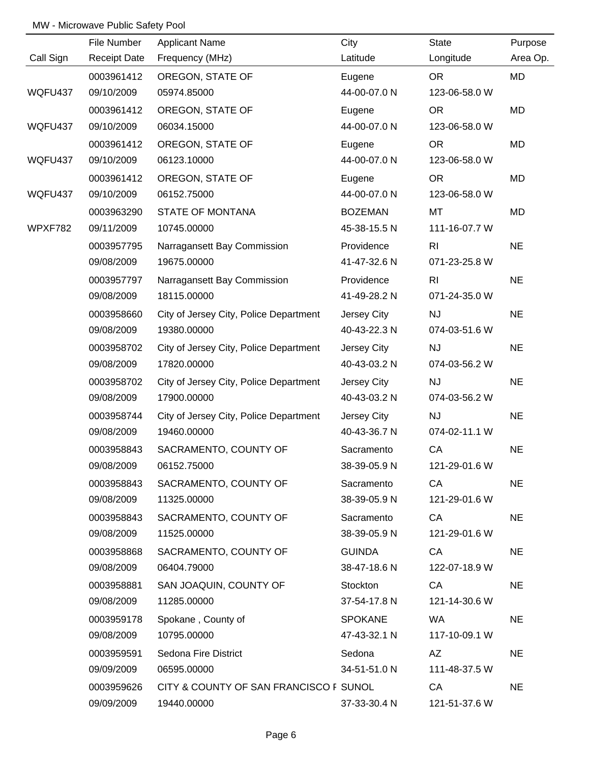|           | File Number         | <b>Applicant Name</b>                  | City           | State          | Purpose   |
|-----------|---------------------|----------------------------------------|----------------|----------------|-----------|
| Call Sign | <b>Receipt Date</b> | Frequency (MHz)                        | Latitude       | Longitude      | Area Op.  |
|           | 0003961412          | OREGON, STATE OF                       | Eugene         | <b>OR</b>      | MD        |
| WQFU437   | 09/10/2009          | 05974.85000                            | 44-00-07.0 N   | 123-06-58.0 W  |           |
|           | 0003961412          | OREGON, STATE OF                       | Eugene         | <b>OR</b>      | MD        |
| WQFU437   | 09/10/2009          | 06034.15000                            | 44-00-07.0 N   | 123-06-58.0 W  |           |
|           | 0003961412          | OREGON, STATE OF                       | Eugene         | <b>OR</b>      | MD        |
| WQFU437   | 09/10/2009          | 06123.10000                            | 44-00-07.0 N   | 123-06-58.0 W  |           |
|           | 0003961412          | OREGON, STATE OF                       | Eugene         | <b>OR</b>      | MD        |
| WQFU437   | 09/10/2009          | 06152.75000                            | 44-00-07.0 N   | 123-06-58.0 W  |           |
|           | 0003963290          | <b>STATE OF MONTANA</b>                | <b>BOZEMAN</b> | MT             | <b>MD</b> |
| WPXF782   | 09/11/2009          | 10745.00000                            | 45-38-15.5 N   | 111-16-07.7 W  |           |
|           | 0003957795          | Narragansett Bay Commission            | Providence     | R <sub>1</sub> | <b>NE</b> |
|           | 09/08/2009          | 19675.00000                            | 41-47-32.6 N   | 071-23-25.8 W  |           |
|           | 0003957797          | Narragansett Bay Commission            | Providence     | R <sub>l</sub> | <b>NE</b> |
|           | 09/08/2009          | 18115.00000                            | 41-49-28.2 N   | 071-24-35.0 W  |           |
|           | 0003958660          | City of Jersey City, Police Department | Jersey City    | <b>NJ</b>      | <b>NE</b> |
|           | 09/08/2009          | 19380.00000                            | 40-43-22.3 N   | 074-03-51.6 W  |           |
|           | 0003958702          | City of Jersey City, Police Department | Jersey City    | <b>NJ</b>      | <b>NE</b> |
|           | 09/08/2009          | 17820.00000                            | 40-43-03.2 N   | 074-03-56.2 W  |           |
|           | 0003958702          | City of Jersey City, Police Department | Jersey City    | NJ             | <b>NE</b> |
|           | 09/08/2009          | 17900.00000                            | 40-43-03.2 N   | 074-03-56.2 W  |           |
|           | 0003958744          | City of Jersey City, Police Department | Jersey City    | NJ             | <b>NE</b> |
|           | 09/08/2009          | 19460.00000                            | 40-43-36.7 N   | 074-02-11.1 W  |           |
|           | 0003958843          | SACRAMENTO, COUNTY OF                  | Sacramento     | CA             | <b>NE</b> |
|           | 09/08/2009          | 06152.75000                            | 38-39-05.9 N   | 121-29-01.6 W  |           |
|           | 0003958843          | SACRAMENTO, COUNTY OF                  | Sacramento     | CA             | <b>NE</b> |
|           | 09/08/2009          | 11325.00000                            | 38-39-05.9 N   | 121-29-01.6 W  |           |
|           | 0003958843          | SACRAMENTO, COUNTY OF                  | Sacramento     | CA             | <b>NE</b> |
|           | 09/08/2009          | 11525.00000                            | 38-39-05.9 N   | 121-29-01.6 W  |           |
|           | 0003958868          | SACRAMENTO, COUNTY OF                  | <b>GUINDA</b>  | CA             | <b>NE</b> |
|           | 09/08/2009          | 06404.79000                            | 38-47-18.6 N   | 122-07-18.9 W  |           |
|           | 0003958881          | SAN JOAQUIN, COUNTY OF                 | Stockton       | CA             | <b>NE</b> |
|           | 09/08/2009          | 11285.00000                            | 37-54-17.8 N   | 121-14-30.6 W  |           |
|           | 0003959178          | Spokane, County of                     | <b>SPOKANE</b> | <b>WA</b>      | <b>NE</b> |
|           | 09/08/2009          | 10795.00000                            | 47-43-32.1 N   | 117-10-09.1 W  |           |
|           | 0003959591          | Sedona Fire District                   | Sedona         | AZ             | <b>NE</b> |
|           | 09/09/2009          | 06595.00000                            | 34-51-51.0 N   | 111-48-37.5 W  |           |
|           | 0003959626          | CITY & COUNTY OF SAN FRANCISCO F SUNOL |                | CA             | <b>NE</b> |
|           | 09/09/2009          | 19440.00000                            | 37-33-30.4 N   | 121-51-37.6 W  |           |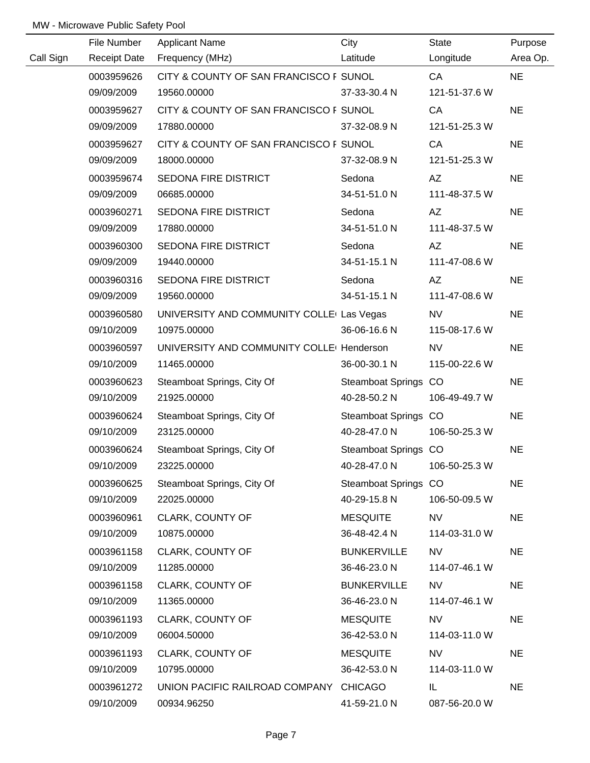|           | File Number         | <b>Applicant Name</b>                                  | City                 | <b>State</b>  | Purpose   |
|-----------|---------------------|--------------------------------------------------------|----------------------|---------------|-----------|
| Call Sign | <b>Receipt Date</b> | Frequency (MHz)                                        | Latitude             | Longitude     | Area Op.  |
|           | 0003959626          | CITY & COUNTY OF SAN FRANCISCO F SUNOL                 |                      | CA            | <b>NE</b> |
|           | 09/09/2009          | 19560.00000                                            | 37-33-30.4 N         | 121-51-37.6 W |           |
|           | 0003959627          | CITY & COUNTY OF SAN FRANCISCO F SUNOL                 |                      | CA            | <b>NE</b> |
|           | 09/09/2009          | 17880.00000                                            | 37-32-08.9 N         | 121-51-25.3 W |           |
|           | 0003959627          | CITY & COUNTY OF SAN FRANCISCO F SUNOL                 |                      | CA            | <b>NE</b> |
|           | 09/09/2009          | 18000.00000                                            | 37-32-08.9 N         | 121-51-25.3 W |           |
|           | 0003959674          | SEDONA FIRE DISTRICT                                   | Sedona               | AZ            | <b>NE</b> |
|           | 09/09/2009          | 06685.00000                                            | 34-51-51.0 N         | 111-48-37.5 W |           |
|           | 0003960271          | SEDONA FIRE DISTRICT                                   | Sedona               | AZ            | <b>NE</b> |
|           | 09/09/2009          | 17880.00000                                            | 34-51-51.0 N         | 111-48-37.5 W |           |
|           | 0003960300          | SEDONA FIRE DISTRICT                                   | Sedona               | AZ            | <b>NE</b> |
|           | 09/09/2009          | 19440.00000                                            | 34-51-15.1 N         | 111-47-08.6 W |           |
|           | 0003960316          | SEDONA FIRE DISTRICT                                   | Sedona               | AZ            | <b>NE</b> |
|           | 09/09/2009          | 19560.00000                                            | 34-51-15.1 N         | 111-47-08.6 W |           |
|           | 0003960580          | UNIVERSITY AND COMMUNITY COLLE <sup>(</sup> Las Vegas) |                      | NV.           | <b>NE</b> |
|           | 09/10/2009          | 10975.00000                                            | 36-06-16.6 N         | 115-08-17.6 W |           |
|           | 0003960597          | UNIVERSITY AND COMMUNITY COLLE <sup>[</sup> Henderson] |                      | <b>NV</b>     | <b>NE</b> |
|           | 09/10/2009          | 11465.00000                                            | 36-00-30.1 N         | 115-00-22.6 W |           |
|           | 0003960623          | Steamboat Springs, City Of                             | Steamboat Springs CO |               | <b>NE</b> |
|           | 09/10/2009          | 21925.00000                                            | 40-28-50.2 N         | 106-49-49.7 W |           |
|           | 0003960624          | Steamboat Springs, City Of                             | Steamboat Springs CO |               | <b>NE</b> |
|           | 09/10/2009          | 23125.00000                                            | 40-28-47.0 N         | 106-50-25.3 W |           |
|           | 0003960624          | Steamboat Springs, City Of                             | Steamboat Springs CO |               | <b>NE</b> |
|           | 09/10/2009          | 23225.00000                                            | 40-28-47.0 N         | 106-50-25.3 W |           |
|           | 0003960625          | Steamboat Springs, City Of                             | Steamboat Springs CO |               | <b>NE</b> |
|           | 09/10/2009          | 22025.00000                                            | 40-29-15.8 N         | 106-50-09.5 W |           |
|           | 0003960961          | CLARK, COUNTY OF                                       | <b>MESQUITE</b>      | <b>NV</b>     | <b>NE</b> |
|           | 09/10/2009          | 10875.00000                                            | 36-48-42.4 N         | 114-03-31.0 W |           |
|           | 0003961158          | CLARK, COUNTY OF                                       | <b>BUNKERVILLE</b>   | NV.           | <b>NE</b> |
|           | 09/10/2009          | 11285.00000                                            | 36-46-23.0 N         | 114-07-46.1 W |           |
|           | 0003961158          | CLARK, COUNTY OF                                       | <b>BUNKERVILLE</b>   | <b>NV</b>     | <b>NE</b> |
|           | 09/10/2009          | 11365.00000                                            | 36-46-23.0 N         | 114-07-46.1 W |           |
|           | 0003961193          | CLARK, COUNTY OF                                       | <b>MESQUITE</b>      | <b>NV</b>     | <b>NE</b> |
|           | 09/10/2009          | 06004.50000                                            | 36-42-53.0 N         | 114-03-11.0 W |           |
|           | 0003961193          | CLARK, COUNTY OF                                       | <b>MESQUITE</b>      | <b>NV</b>     | <b>NE</b> |
|           | 09/10/2009          | 10795.00000                                            | 36-42-53.0 N         | 114-03-11.0 W |           |
|           | 0003961272          | UNION PACIFIC RAILROAD COMPANY CHICAGO                 |                      | IL.           | <b>NE</b> |
|           | 09/10/2009          | 00934.96250                                            | 41-59-21.0 N         | 087-56-20.0 W |           |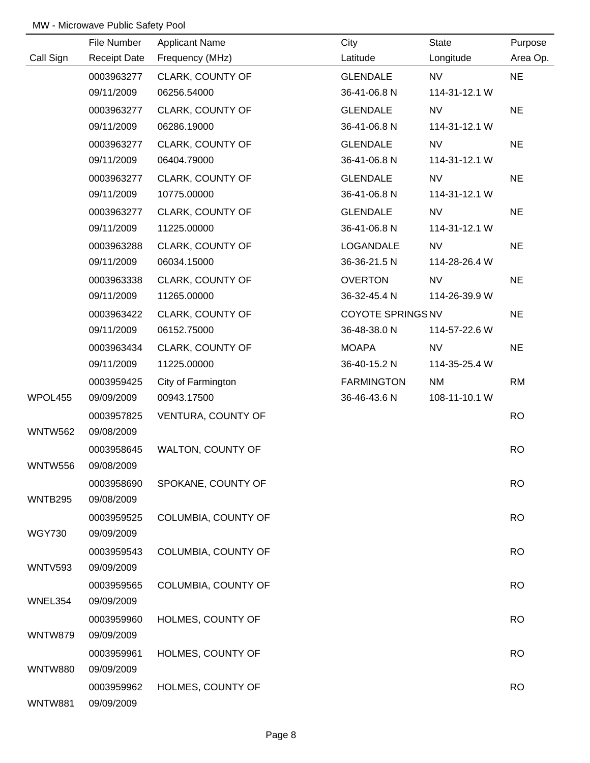|                | File Number         | <b>Applicant Name</b> | City              | State         | Purpose   |
|----------------|---------------------|-----------------------|-------------------|---------------|-----------|
| Call Sign      | <b>Receipt Date</b> | Frequency (MHz)       | Latitude          | Longitude     | Area Op.  |
|                | 0003963277          | CLARK, COUNTY OF      | <b>GLENDALE</b>   | <b>NV</b>     | <b>NE</b> |
|                | 09/11/2009          | 06256.54000           | 36-41-06.8 N      | 114-31-12.1 W |           |
|                | 0003963277          | CLARK, COUNTY OF      | <b>GLENDALE</b>   | <b>NV</b>     | <b>NE</b> |
|                | 09/11/2009          | 06286.19000           | 36-41-06.8 N      | 114-31-12.1 W |           |
|                | 0003963277          | CLARK, COUNTY OF      | <b>GLENDALE</b>   | <b>NV</b>     | <b>NE</b> |
|                | 09/11/2009          | 06404.79000           | 36-41-06.8 N      | 114-31-12.1 W |           |
|                | 0003963277          | CLARK, COUNTY OF      | <b>GLENDALE</b>   | <b>NV</b>     | <b>NE</b> |
|                | 09/11/2009          | 10775.00000           | 36-41-06.8 N      | 114-31-12.1 W |           |
|                | 0003963277          | CLARK, COUNTY OF      | GLENDALE          | <b>NV</b>     | <b>NE</b> |
|                | 09/11/2009          | 11225.00000           | 36-41-06.8 N      | 114-31-12.1 W |           |
|                | 0003963288          | CLARK, COUNTY OF      | LOGANDALE         | <b>NV</b>     | <b>NE</b> |
|                | 09/11/2009          | 06034.15000           | 36-36-21.5 N      | 114-28-26.4 W |           |
|                | 0003963338          | CLARK, COUNTY OF      | <b>OVERTON</b>    | <b>NV</b>     | <b>NE</b> |
|                | 09/11/2009          | 11265.00000           | 36-32-45.4 N      | 114-26-39.9 W |           |
|                | 0003963422          | CLARK, COUNTY OF      | COYOTE SPRINGS NV |               | <b>NE</b> |
|                | 09/11/2009          | 06152.75000           | 36-48-38.0 N      | 114-57-22.6 W |           |
|                | 0003963434          | CLARK, COUNTY OF      | <b>MOAPA</b>      | <b>NV</b>     | <b>NE</b> |
|                | 09/11/2009          | 11225.00000           | 36-40-15.2 N      | 114-35-25.4 W |           |
|                | 0003959425          | City of Farmington    | <b>FARMINGTON</b> | <b>NM</b>     | <b>RM</b> |
| WPOL455        | 09/09/2009          | 00943.17500           | 36-46-43.6 N      | 108-11-10.1 W |           |
|                | 0003957825          | VENTURA, COUNTY OF    |                   |               | <b>RO</b> |
| <b>WNTW562</b> | 09/08/2009          |                       |                   |               |           |
|                | 0003958645          | WALTON, COUNTY OF     |                   |               | <b>RO</b> |
| <b>WNTW556</b> | 09/08/2009          |                       |                   |               |           |
|                | 0003958690          | SPOKANE, COUNTY OF    |                   |               | <b>RO</b> |
| WNTB295        | 09/08/2009          |                       |                   |               |           |
|                | 0003959525          | COLUMBIA, COUNTY OF   |                   |               | <b>RO</b> |
| <b>WGY730</b>  | 09/09/2009          |                       |                   |               |           |
|                | 0003959543          | COLUMBIA, COUNTY OF   |                   |               | <b>RO</b> |
| WNTV593        | 09/09/2009          |                       |                   |               |           |
|                | 0003959565          | COLUMBIA, COUNTY OF   |                   |               | <b>RO</b> |
| WNEL354        | 09/09/2009          |                       |                   |               |           |
|                | 0003959960          | HOLMES, COUNTY OF     |                   |               | <b>RO</b> |
| WNTW879        | 09/09/2009          |                       |                   |               |           |
|                | 0003959961          | HOLMES, COUNTY OF     |                   |               | <b>RO</b> |
| <b>WNTW880</b> | 09/09/2009          |                       |                   |               |           |
|                | 0003959962          | HOLMES, COUNTY OF     |                   |               | <b>RO</b> |
| <b>WNTW881</b> | 09/09/2009          |                       |                   |               |           |